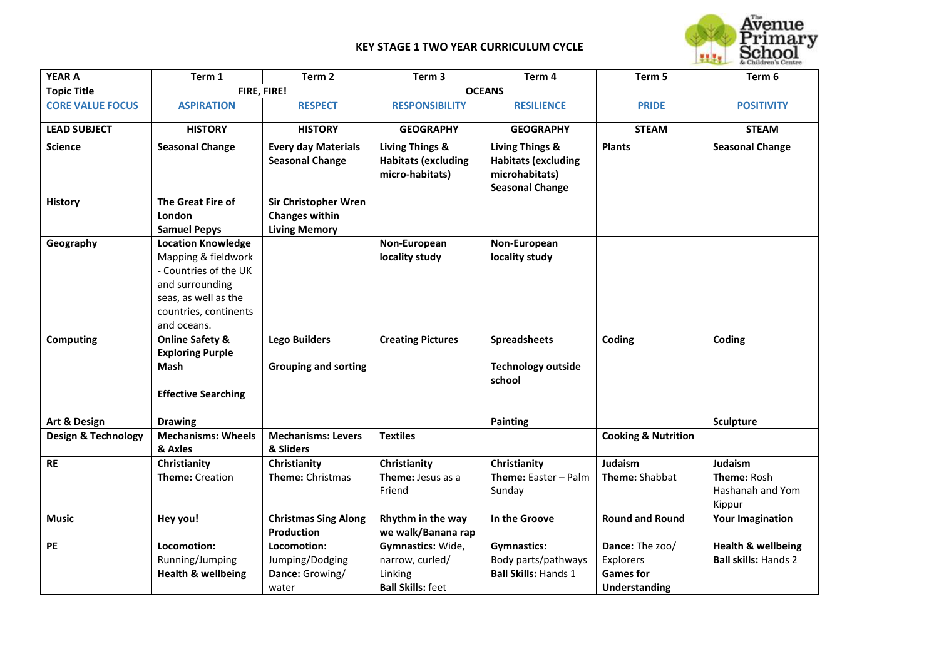## **KEY STAGE 1 TWO YEAR CURRICULUM CYCLE**



| <b>YEAR A</b>                  | Term 1                                                                                                                                                       | Term 2                                                                       | Term 3                                                                      | Term 4                                                                                               | Term 5                                                            | Term 6                                                       |
|--------------------------------|--------------------------------------------------------------------------------------------------------------------------------------------------------------|------------------------------------------------------------------------------|-----------------------------------------------------------------------------|------------------------------------------------------------------------------------------------------|-------------------------------------------------------------------|--------------------------------------------------------------|
| <b>Topic Title</b>             |                                                                                                                                                              | FIRE, FIRE!                                                                  | <b>OCEANS</b>                                                               |                                                                                                      |                                                                   |                                                              |
| <b>CORE VALUE FOCUS</b>        | <b>ASPIRATION</b>                                                                                                                                            | <b>RESPECT</b>                                                               | <b>RESPONSIBILITY</b>                                                       | <b>RESILIENCE</b>                                                                                    | <b>PRIDE</b>                                                      | <b>POSITIVITY</b>                                            |
| <b>LEAD SUBJECT</b>            | <b>HISTORY</b>                                                                                                                                               | <b>HISTORY</b>                                                               | <b>GEOGRAPHY</b>                                                            | <b>GEOGRAPHY</b>                                                                                     | <b>STEAM</b>                                                      | <b>STEAM</b>                                                 |
| <b>Science</b>                 | <b>Seasonal Change</b>                                                                                                                                       | <b>Every day Materials</b><br><b>Seasonal Change</b>                         | <b>Living Things &amp;</b><br><b>Habitats (excluding</b><br>micro-habitats) | <b>Living Things &amp;</b><br><b>Habitats (excluding</b><br>microhabitats)<br><b>Seasonal Change</b> | <b>Plants</b>                                                     | <b>Seasonal Change</b>                                       |
| <b>History</b>                 | The Great Fire of<br>London<br><b>Samuel Pepys</b>                                                                                                           | <b>Sir Christopher Wren</b><br><b>Changes within</b><br><b>Living Memory</b> |                                                                             |                                                                                                      |                                                                   |                                                              |
| Geography                      | <b>Location Knowledge</b><br>Mapping & fieldwork<br>- Countries of the UK<br>and surrounding<br>seas, as well as the<br>countries, continents<br>and oceans. |                                                                              | Non-European<br>locality study                                              | Non-European<br>locality study                                                                       |                                                                   |                                                              |
| Computing                      | <b>Online Safety &amp;</b><br><b>Exploring Purple</b><br>Mash<br><b>Effective Searching</b>                                                                  | <b>Lego Builders</b><br><b>Grouping and sorting</b>                          | <b>Creating Pictures</b>                                                    | <b>Spreadsheets</b><br><b>Technology outside</b><br>school                                           | Coding                                                            | Coding                                                       |
| Art & Design                   | <b>Drawing</b>                                                                                                                                               |                                                                              |                                                                             | Painting                                                                                             |                                                                   | <b>Sculpture</b>                                             |
| <b>Design &amp; Technology</b> | <b>Mechanisms: Wheels</b><br>& Axles                                                                                                                         | <b>Mechanisms: Levers</b><br>& Sliders                                       | <b>Textiles</b>                                                             |                                                                                                      | <b>Cooking &amp; Nutrition</b>                                    |                                                              |
| <b>RE</b>                      | Christianity<br><b>Theme: Creation</b>                                                                                                                       | Christianity<br>Theme: Christmas                                             | Christianity<br>Theme: Jesus as a<br>Friend                                 | Christianity<br>Theme: Easter - Palm<br>Sunday                                                       | Judaism<br>Theme: Shabbat                                         | Judaism<br><b>Theme: Rosh</b><br>Hashanah and Yom<br>Kippur  |
| <b>Music</b>                   | Hey you!                                                                                                                                                     | <b>Christmas Sing Along</b><br><b>Production</b>                             | Rhythm in the way<br>we walk/Banana rap                                     | In the Groove                                                                                        | <b>Round and Round</b>                                            | <b>Your Imagination</b>                                      |
| <b>PE</b>                      | Locomotion:<br>Running/Jumping<br><b>Health &amp; wellbeing</b>                                                                                              | Locomotion:<br>Jumping/Dodging<br>Dance: Growing/<br>water                   | Gymnastics: Wide,<br>narrow, curled/<br>Linking<br><b>Ball Skills: feet</b> | <b>Gymnastics:</b><br>Body parts/pathways<br><b>Ball Skills: Hands 1</b>                             | Dance: The zoo/<br>Explorers<br><b>Games for</b><br>Understanding | <b>Health &amp; wellbeing</b><br><b>Ball skills: Hands 2</b> |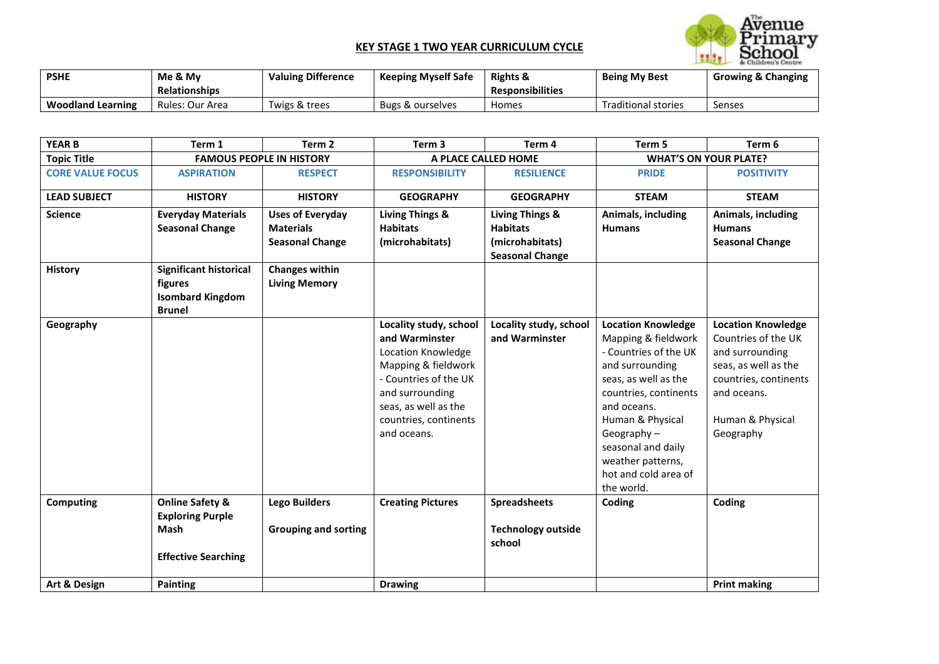## **KEY STAGE 1 TWO YEAR CURRICULUM CYCLE**



| <b>PSHE</b>              | Me & My<br><b>Relationships</b> | <b>Valuing Difference</b> | <b>Keeping Myself Safe</b> | <b>Rights &amp;</b><br><b>Responsibilities</b> | <b>Being My Best</b>       | <b>Growing &amp; Changing</b> |
|--------------------------|---------------------------------|---------------------------|----------------------------|------------------------------------------------|----------------------------|-------------------------------|
| <b>Woodland Learning</b> | Rules: Our Area                 | Twigs & trees             | Bugs & ourselves           | Homes                                          | <b>Traditional stories</b> | Senses                        |

| <b>YEAR B</b>           | Term 1                                                                                      | Term <sub>2</sub>                                                     | Term <sub>3</sub>                                                                                                                                                                                 | Term 4                                                                          | Term 5                                                                                                                                                                                                                                                                             | Term 6                                                                                                                                                               |  |
|-------------------------|---------------------------------------------------------------------------------------------|-----------------------------------------------------------------------|---------------------------------------------------------------------------------------------------------------------------------------------------------------------------------------------------|---------------------------------------------------------------------------------|------------------------------------------------------------------------------------------------------------------------------------------------------------------------------------------------------------------------------------------------------------------------------------|----------------------------------------------------------------------------------------------------------------------------------------------------------------------|--|
| <b>Topic Title</b>      |                                                                                             | <b>FAMOUS PEOPLE IN HISTORY</b>                                       |                                                                                                                                                                                                   | A PLACE CALLED HOME                                                             |                                                                                                                                                                                                                                                                                    | <b>WHAT'S ON YOUR PLATE?</b>                                                                                                                                         |  |
| <b>CORE VALUE FOCUS</b> | <b>ASPIRATION</b>                                                                           | <b>RESPECT</b>                                                        | <b>RESPONSIBILITY</b>                                                                                                                                                                             | <b>RESILIENCE</b>                                                               | <b>PRIDE</b>                                                                                                                                                                                                                                                                       | <b>POSITIVITY</b>                                                                                                                                                    |  |
| <b>LEAD SUBJECT</b>     | <b>HISTORY</b>                                                                              | <b>HISTORY</b>                                                        | <b>GEOGRAPHY</b>                                                                                                                                                                                  | <b>GEOGRAPHY</b>                                                                | <b>STEAM</b>                                                                                                                                                                                                                                                                       | <b>STEAM</b>                                                                                                                                                         |  |
| <b>Science</b>          | <b>Everyday Materials</b><br><b>Seasonal Change</b>                                         | <b>Uses of Everyday</b><br><b>Materials</b><br><b>Seasonal Change</b> | <b>Living Things &amp;</b><br><b>Habitats</b><br>(microhabitats)                                                                                                                                  | Living Things &<br><b>Habitats</b><br>(microhabitats)<br><b>Seasonal Change</b> | Animals, including<br><b>Humans</b>                                                                                                                                                                                                                                                | Animals, including<br><b>Humans</b><br><b>Seasonal Change</b>                                                                                                        |  |
| <b>History</b>          | <b>Significant historical</b><br>figures<br><b>Isombard Kingdom</b><br><b>Brunel</b>        | <b>Changes within</b><br><b>Living Memory</b>                         |                                                                                                                                                                                                   |                                                                                 |                                                                                                                                                                                                                                                                                    |                                                                                                                                                                      |  |
| Geography               |                                                                                             |                                                                       | Locality study, school<br>and Warminster<br>Location Knowledge<br>Mapping & fieldwork<br>- Countries of the UK<br>and surrounding<br>seas, as well as the<br>countries, continents<br>and oceans. | Locality study, school<br>and Warminster                                        | <b>Location Knowledge</b><br>Mapping & fieldwork<br>- Countries of the UK<br>and surrounding<br>seas, as well as the<br>countries, continents<br>and oceans.<br>Human & Physical<br>Geography $-$<br>seasonal and daily<br>weather patterns,<br>hot and cold area of<br>the world. | <b>Location Knowledge</b><br>Countries of the UK<br>and surrounding<br>seas, as well as the<br>countries, continents<br>and oceans.<br>Human & Physical<br>Geography |  |
| <b>Computing</b>        | <b>Online Safety &amp;</b><br><b>Exploring Purple</b><br>Mash<br><b>Effective Searching</b> | <b>Lego Builders</b><br><b>Grouping and sorting</b>                   | <b>Creating Pictures</b>                                                                                                                                                                          | <b>Spreadsheets</b><br><b>Technology outside</b><br>school                      | Coding                                                                                                                                                                                                                                                                             | Coding                                                                                                                                                               |  |
| Art & Design            | <b>Painting</b>                                                                             |                                                                       | <b>Drawing</b>                                                                                                                                                                                    |                                                                                 |                                                                                                                                                                                                                                                                                    | <b>Print making</b>                                                                                                                                                  |  |